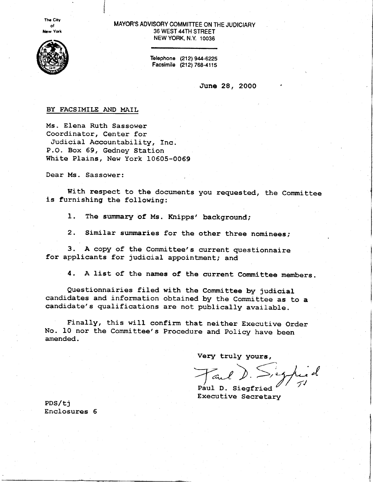**The City** ot New York



## MAYOR'S ADVISORY COMMITTEE ON THE JUDICIARY 36 WEST 44TH STREET NEW YORK. N.Y. 10036

Telephone (212) 944-6225 Facsimile (212) 768-4115

June 28, 2000

# BY FACSIMILE AND MAIL

Ms. Elena Ruth Sassower Coordinator, Center for ,Judicial Accountability, fnc. P.O. Box 69, Gedney Station White Plains, New York 10605-0069

Dear Ms. Sassower:

With respect to the documents you requested, the Committee is furnishing the following:

1. The summary of Ms. Knipps' background;

2. Similar summaries for the other three nominees;

3. A copy of the Committee's current questionnaire for applicants for judicial appointment; and

4. A list of the names of the current Committee members.

Questionnairies filed with the Committee by judicial candidates and information obtained by the committee as to a candidate' s qualifications are not publically available.

Finally, this will confirm that neither Executive order No. l0 nor the committee's procedure and policy have been amended.

Very truly yours,

Paul D. Siegfried Executive Secretary

PDS/ti Enclosures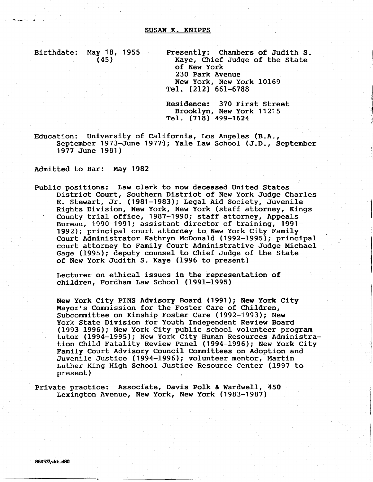#### SUSAN K. KNIPPS

ه المستخدم

Birthdate: May 18, 1955 Presently: Chambers of Judith S.<br>(45) Kaye, Chief Judge of the State Kaye, Chief Judge of the State of New York 230 Park Avenue New York, New York 10169 rel. (2L2) 661-6788

> Residence: 370 First Street Brooklyn, New York 11215 Tel. (718) 499-1624

Education: University of California, Los Angeles (B.A-, September 1973-June 1977); Yale Law School (J.D., September 1977-June 1981 )

Adnitted to Bar: May 1982

Public positions: Law clerk to now deceased United States District Court, Southern District of New York Judge Charles E. Stewart, Jr. (1981-1983); Legal Aid Society, Juvenile Rights Division, New York, New York (staff attorney, Kings County trial office, 1987-1990; staff attorney, Appeals Bureau, 1990-1991; assistant director of training, 1991- 1992); principal court attorney to New York City Family Court Administrator Kathryn McDonald (1992-1995) ; principal court attorney to Family Court Administrative Judge Michael Gage (1995); deputy counsel to Chief Judge of the State of New York Judith S. Kaye (1996 to present)

Lecturer on ethical issues in the representation of children, Fordham Law School (1991-1995)

New York City PINS Advisory Board (1991); New York City Mayor's Commission for the Foster Care of Children, Subcommittee on Kinship Foster Care (1992-1993); New York State Division for Youth Independent Review Board (1993-1996); New York City public school volunteer program tutor (1994-1995); New York City Human Resources Administration Child Fatality Review Panel (1994-1996); New York City Family Court Advisory Council Committees on Adoption and Juvenile Justice (1994-1996); volunteer mentor, Martin Luther King High School Justice Resource Center (1997 to present )

Private practice: Associate, Davis Polk & Wardwell, 450 Lexington Avenue, New York, New York (1983-1987)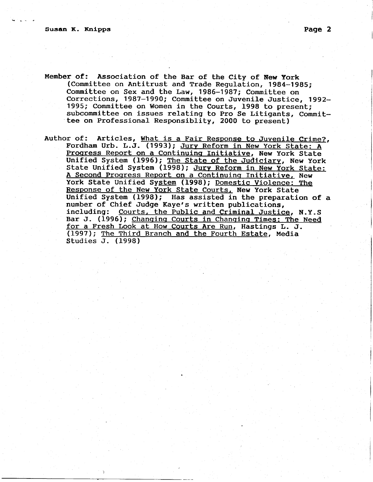- Member of: Association of the Bar of the City of New york (Committee on Antitrust and Trade Regulation, 1984-1985; Committee on Sex and the Law, 1986-1987; Committee on Corrections, 1987-1990; Committee on Juvenile Justice, 1992- 1995; Committee on Women in the Courts, 1998 to present; subcommittee on issues relating to Pro Se Litigants, Committee on Professional Responsiblity, 2000 to present)
- Author of: Articles, What is a Fair Response to Juvenile Crime?, Fordham Urb. L.J. (1993); Jury Reform in New York State: A Progress Report on a Continuing Initiative, New York State Unified System (1996); The State of the Judiciary, New York State Unified System (1998); Jury Reform in New York State: A Second Proqress Report on a Continuinq Initiative, New York State Unified System (1998); Domestic Violence: The Response of the New York State Courts, New York State Unified System (1998); Has assisted in the preparation of a number of Chief Judge Kaye's written publications, including: Courts, the Public and Criminal Justice, N.Y.S Bar J. (1996); Chanqinq Courts in Chanqinq Times: The Need for a Fresh Look at How Courts Are Run, Hastings L. J. (1997); The Third Branch and the Fourth Estate, Media Studies J. (1998)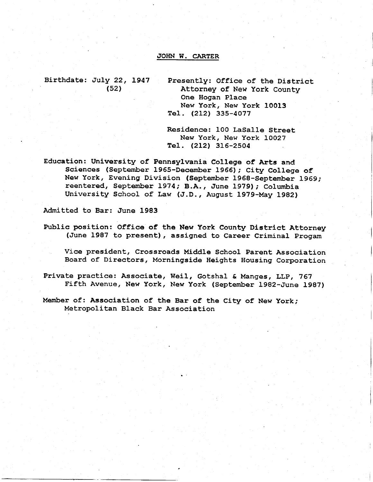## JOHN W. CARTER

Birthdate: July 22, 1947 Presently: Office of the District (52) **Attorney of New York County** One Hogan Place New York, New York 10013 Tel. (212) 335-4077

> Residence: 100 LaSalle Street New York, New York LOO27 Tel. (2L2, 315-2s04

Education: University of Pennsylvania College of Arts and Sciences (September L955-December 1966); City College of New York, Evening Division (september 1968-september 1969; reentered, September 1974; B.A., June 1979); Columbia University School of Law (J.D., August 1979-May 1982)

Admitted to Bar: June 1983

Public position: Office of the New York County District Attorney (June 1987 to present), assigned to Career Criminal progam

Vice president, Crossroads Middle School Parent Association Board of Directors, Morningside Heights Housing Corporation

Private practice: Associate, Weil, Gotshal & Manges, LLp, 767 Fifth Avenue, New York, New York (September 1982-June 1987)

Member of: Association of the Bar of the City of New York; Metropolitan Black Bar Association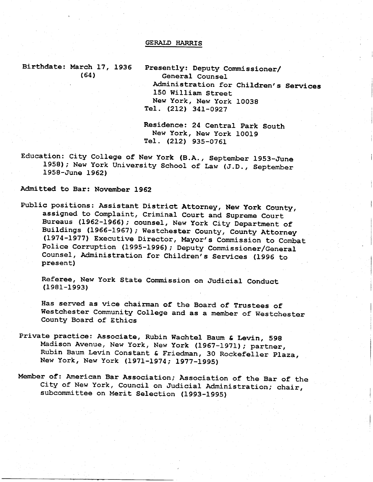## GERALD HARRTS

Birthdate: March 17, 1936 (64)

Presently: Deputy Commissioner/ General Counsel Administration for Children's Service 150 William Street New York, New york 10038 Tel. (212) 341-0927

Residence: 24 Central Park South<br>New York, New York 10019 Tel. (212) 935-0761

Education: City College of New York (B.A., September 1953-June 1958); New York University School of Law (J.D., September 1958-June 1962)

Admitted to Bar: November 1962

Public positions: Assistant District Attorney, New York County, assigned to complaint, criminal court and Supreme court Bureaus (L962-L955); counsel, New york City Department of Buildings (1966-1967); Westchester County, County Attorney (1974-1977) Executive Director, Mayor's Commission to Combat Police Corruption (1995-1996); Deputy Commissioner/General Counsel, Administration for Children's Services (1996 to present)

Referee, New York State Commission on Judicial Conduct (1e81-1993)

Has served as vice chairman of the Board of Trustees of Westchester Community College and as a member of Westchester County Board of Ethics

- Private practice: Associate, Rubin Wachtel Baum & Levin, 598 Madison Avenue, New York, New York (1967-1971); partner, Rubin Baum Levin Constant & Friedman, 30 Rockefeller p1aza, New York, New york (L97L-L974; 19?7-1995)
- Member of: American Bar Association; Association of the Bar of the City of New York, Council on Judicial Administration; chair, subcommittee on Merit Selection (1993-1995)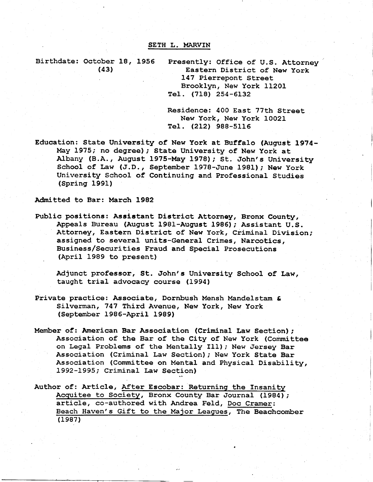#### SETH L. MARVIN

Birthdate: October 18, 1956 Presently: Office of U.S. Attorney

(43) Eastern District of New York 147 Pierrepont Street Brooklyn, New York 11201 TeI. (718) 2s4-6L32

> Residence: 400 East 77Eh Street New York, New York 10021 Tel. (2L2, 988-5115

Education: State University of New York at Buffalo (August 1974-May 1975; no degree); State University of New York at Albany (B.A., August 1975-May 1978); St. John's University School of Law (J.D., September 1978-June 1981); New York University School of Continuing and Professional Studies (Spring 1991)

Admitted to Bar: March 1982

Public positions: Assietant District Attorney, Bronx County, Appeals Bureau (August 1981-August 1986); Assistant U.S. Attorney, Eastern District of New York, Criminal Division; assigned to several units-General Crimes, Narcotics, Business/Securities Fraud and Special Prosecutions . (April 1989 to present)

Adjunct professor, St. John's University School of Law, taught trial advocacy course (1994)

- Private practice: Associate, Dornbush Mensh Mandelstam & Silverman, 747 Third Avenue, New York, New York (September 1985-April 1989)
- Member of: American Bar Association (Criminal Law Section); Association of the Bar of the City of New York (Committee on Legal Problems of the Mentally Ill); New Jersey Bar Association (Criminal Law Section); New York State Bar Association (Committee on Mental and Physical Disability, 1992-1995; Criminal Law Section)
- Author of: Artic1e, After Escobar: Returning the fnsanity Acquitee to Society, Bronx County Bar Journal (1984); article, co-authored with Andrea Fe1d, Doc Cramer: Beach Haven's Gift to the Major Leagues, The Beachcomber  $(1987)$